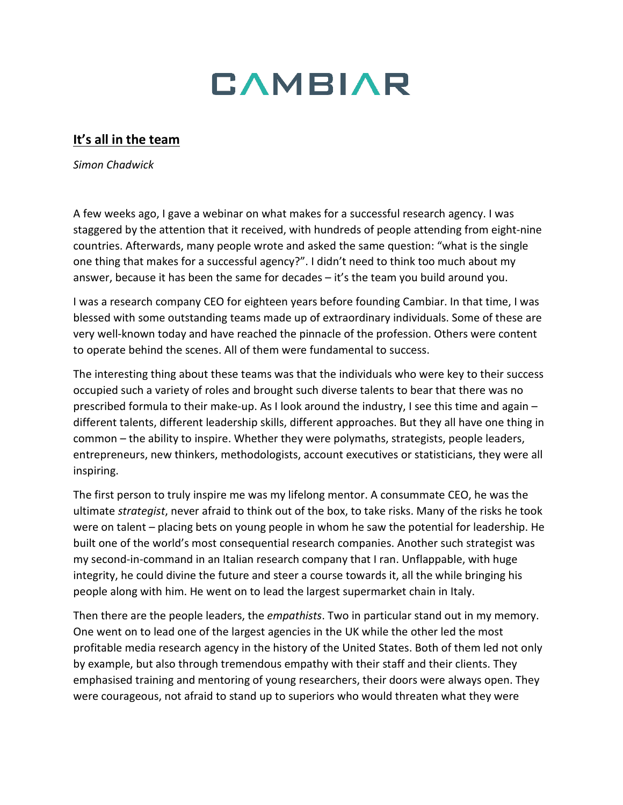

## **It's all in the team**

*Simon Chadwick*

A few weeks ago, I gave a webinar on what makes for a successful research agency. I was staggered by the attention that it received, with hundreds of people attending from eight-nine countries. Afterwards, many people wrote and asked the same question: "what is the single one thing that makes for a successful agency?". I didn't need to think too much about my answer, because it has been the same for decades – it's the team you build around you.

I was a research company CEO for eighteen years before founding Cambiar. In that time, I was blessed with some outstanding teams made up of extraordinary individuals. Some of these are very well-known today and have reached the pinnacle of the profession. Others were content to operate behind the scenes. All of them were fundamental to success.

The interesting thing about these teams was that the individuals who were key to their success occupied such a variety of roles and brought such diverse talents to bear that there was no prescribed formula to their make-up. As I look around the industry, I see this time and again – different talents, different leadership skills, different approaches. But they all have one thing in common – the ability to inspire. Whether they were polymaths, strategists, people leaders, entrepreneurs, new thinkers, methodologists, account executives or statisticians, they were all inspiring.

The first person to truly inspire me was my lifelong mentor. A consummate CEO, he was the ultimate *strategist*, never afraid to think out of the box, to take risks. Many of the risks he took were on talent – placing bets on young people in whom he saw the potential for leadership. He built one of the world's most consequential research companies. Another such strategist was my second-in-command in an Italian research company that I ran. Unflappable, with huge integrity, he could divine the future and steer a course towards it, all the while bringing his people along with him. He went on to lead the largest supermarket chain in Italy.

Then there are the people leaders, the *empathists*. Two in particular stand out in my memory. One went on to lead one of the largest agencies in the UK while the other led the most profitable media research agency in the history of the United States. Both of them led not only by example, but also through tremendous empathy with their staff and their clients. They emphasised training and mentoring of young researchers, their doors were always open. They were courageous, not afraid to stand up to superiors who would threaten what they were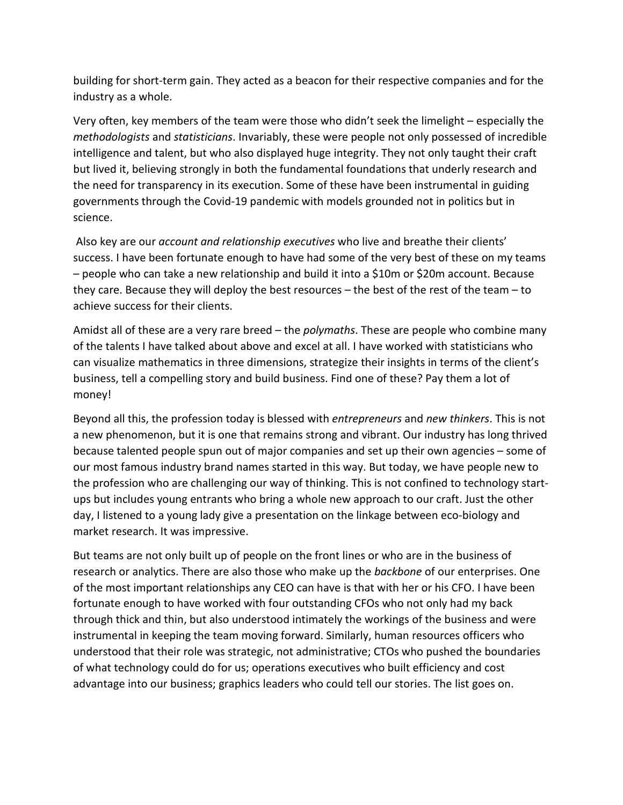building for short-term gain. They acted as a beacon for their respective companies and for the industry as a whole.

Very often, key members of the team were those who didn't seek the limelight – especially the *methodologists* and *statisticians*. Invariably, these were people not only possessed of incredible intelligence and talent, but who also displayed huge integrity. They not only taught their craft but lived it, believing strongly in both the fundamental foundations that underly research and the need for transparency in its execution. Some of these have been instrumental in guiding governments through the Covid-19 pandemic with models grounded not in politics but in science.

Also key are our *account and relationship executives* who live and breathe their clients' success. I have been fortunate enough to have had some of the very best of these on my teams – people who can take a new relationship and build it into a \$10m or \$20m account. Because they care. Because they will deploy the best resources – the best of the rest of the team – to achieve success for their clients.

Amidst all of these are a very rare breed – the *polymaths*. These are people who combine many of the talents I have talked about above and excel at all. I have worked with statisticians who can visualize mathematics in three dimensions, strategize their insights in terms of the client's business, tell a compelling story and build business. Find one of these? Pay them a lot of money!

Beyond all this, the profession today is blessed with *entrepreneurs* and *new thinkers*. This is not a new phenomenon, but it is one that remains strong and vibrant. Our industry has long thrived because talented people spun out of major companies and set up their own agencies – some of our most famous industry brand names started in this way. But today, we have people new to the profession who are challenging our way of thinking. This is not confined to technology startups but includes young entrants who bring a whole new approach to our craft. Just the other day, I listened to a young lady give a presentation on the linkage between eco-biology and market research. It was impressive.

But teams are not only built up of people on the front lines or who are in the business of research or analytics. There are also those who make up the *backbone* of our enterprises. One of the most important relationships any CEO can have is that with her or his CFO. I have been fortunate enough to have worked with four outstanding CFOs who not only had my back through thick and thin, but also understood intimately the workings of the business and were instrumental in keeping the team moving forward. Similarly, human resources officers who understood that their role was strategic, not administrative; CTOs who pushed the boundaries of what technology could do for us; operations executives who built efficiency and cost advantage into our business; graphics leaders who could tell our stories. The list goes on.